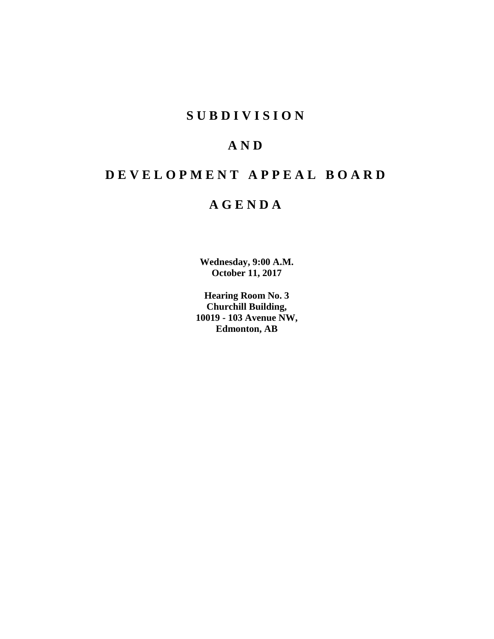# **SUBDIVISION**

# **AND**

# **DEVELOPMENT APPEAL BOARD**

# **AGENDA**

**Wednesday, 9:00 A.M. October 11, 2017**

**Hearing Room No. 3 Churchill Building, 10019 - 103 Avenue NW, Edmonton, AB**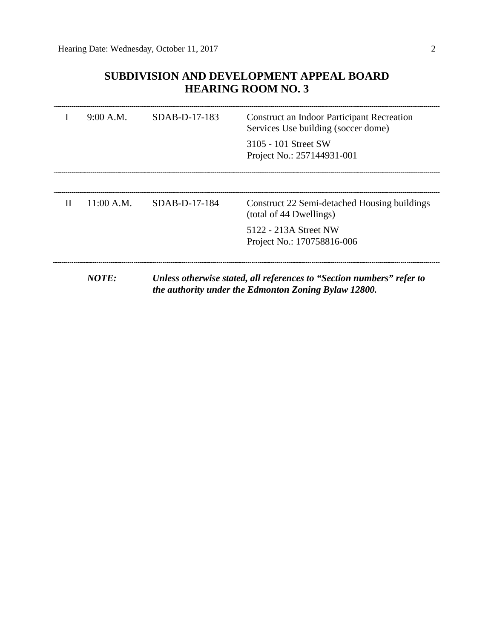# **SUBDIVISION AND DEVELOPMENT APPEAL BOARD HEARING ROOM NO. 3**

|              | 9:00 A.M.  | SDAB-D-17-183   | <b>Construct an Indoor Participant Recreation</b><br>Services Use building (soccer dome)                                      |
|--------------|------------|-----------------|-------------------------------------------------------------------------------------------------------------------------------|
|              |            |                 | 3105 - 101 Street SW<br>Project No.: 257144931-001                                                                            |
|              |            |                 |                                                                                                                               |
| $\mathbf{H}$ | 11:00 A.M. | $SDAB-D-17-184$ | Construct 22 Semi-detached Housing buildings<br>(total of 44 Dwellings)                                                       |
|              |            |                 | 5122 - 213A Street NW<br>Project No.: 170758816-006                                                                           |
|              |            |                 |                                                                                                                               |
|              | NOTE:      |                 | Unless otherwise stated, all references to "Section numbers" refer to<br>the authority under the Edmonton Zoning Bylaw 12800. |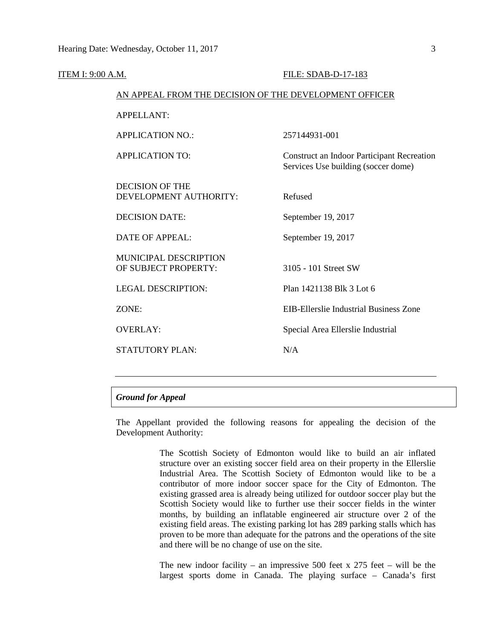| <b>ITEM I: 9:00 A.M.</b> |                                                        | FILE: SDAB-D-17-183                                                                      |  |  |
|--------------------------|--------------------------------------------------------|------------------------------------------------------------------------------------------|--|--|
|                          | AN APPEAL FROM THE DECISION OF THE DEVELOPMENT OFFICER |                                                                                          |  |  |
|                          | APPELLANT:                                             |                                                                                          |  |  |
|                          | <b>APPLICATION NO.:</b>                                | 257144931-001                                                                            |  |  |
|                          | <b>APPLICATION TO:</b>                                 | <b>Construct an Indoor Participant Recreation</b><br>Services Use building (soccer dome) |  |  |
|                          | <b>DECISION OF THE</b><br>DEVELOPMENT AUTHORITY:       | Refused                                                                                  |  |  |
|                          | <b>DECISION DATE:</b>                                  | September 19, 2017                                                                       |  |  |
|                          | <b>DATE OF APPEAL:</b>                                 | September 19, 2017                                                                       |  |  |
|                          | MUNICIPAL DESCRIPTION<br>OF SUBJECT PROPERTY:          | 3105 - 101 Street SW                                                                     |  |  |
|                          | <b>LEGAL DESCRIPTION:</b>                              | Plan 1421138 Blk 3 Lot 6                                                                 |  |  |
|                          | ZONE:                                                  | EIB-Ellerslie Industrial Business Zone                                                   |  |  |
|                          | <b>OVERLAY:</b>                                        | Special Area Ellerslie Industrial                                                        |  |  |
|                          | <b>STATUTORY PLAN:</b>                                 | N/A                                                                                      |  |  |
|                          |                                                        |                                                                                          |  |  |

# *Ground for Appeal*

The Appellant provided the following reasons for appealing the decision of the Development Authority:

> The Scottish Society of Edmonton would like to build an air inflated structure over an existing soccer field area on their property in the Ellerslie Industrial Area. The Scottish Society of Edmonton would like to be a contributor of more indoor soccer space for the City of Edmonton. The existing grassed area is already being utilized for outdoor soccer play but the Scottish Society would like to further use their soccer fields in the winter months, by building an inflatable engineered air structure over 2 of the existing field areas. The existing parking lot has 289 parking stalls which has proven to be more than adequate for the patrons and the operations of the site and there will be no change of use on the site.

> The new indoor facility – an impressive 500 feet x 275 feet – will be the largest sports dome in Canada. The playing surface – Canada's first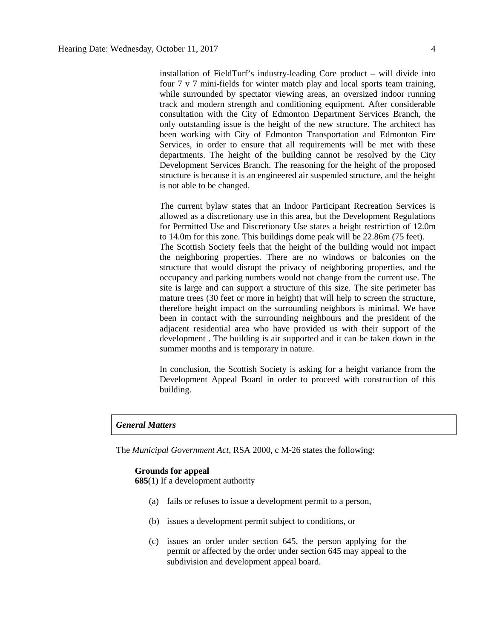installation of FieldTurf's industry-leading Core product – will divide into four 7 v 7 mini-fields for winter match play and local sports team training, while surrounded by spectator viewing areas, an oversized indoor running track and modern strength and conditioning equipment. After considerable consultation with the City of Edmonton Department Services Branch, the only outstanding issue is the height of the new structure. The architect has been working with City of Edmonton Transportation and Edmonton Fire Services, in order to ensure that all requirements will be met with these departments. The height of the building cannot be resolved by the City Development Services Branch. The reasoning for the height of the proposed structure is because it is an engineered air suspended structure, and the height is not able to be changed.

The current bylaw states that an Indoor Participant Recreation Services is allowed as a discretionary use in this area, but the Development Regulations for Permitted Use and Discretionary Use states a height restriction of 12.0m to 14.0m for this zone. This buildings dome peak will be 22.86m (75 feet). The Scottish Society feels that the height of the building would not impact the neighboring properties. There are no windows or balconies on the structure that would disrupt the privacy of neighboring properties, and the occupancy and parking numbers would not change from the current use. The site is large and can support a structure of this size. The site perimeter has mature trees (30 feet or more in height) that will help to screen the structure, therefore height impact on the surrounding neighbors is minimal. We have been in contact with the surrounding neighbours and the president of the adjacent residential area who have provided us with their support of the development . The building is air supported and it can be taken down in the summer months and is temporary in nature.

In conclusion, the Scottish Society is asking for a height variance from the Development Appeal Board in order to proceed with construction of this building.

## *General Matters*

The *Municipal Government Act*, RSA 2000, c M-26 states the following:

#### **Grounds for appeal**

**685**(1) If a development authority

- (a) fails or refuses to issue a development permit to a person,
- (b) issues a development permit subject to conditions, or
- (c) issues an order under section 645, the person applying for the permit or affected by the order under section 645 may appeal to the subdivision and development appeal board.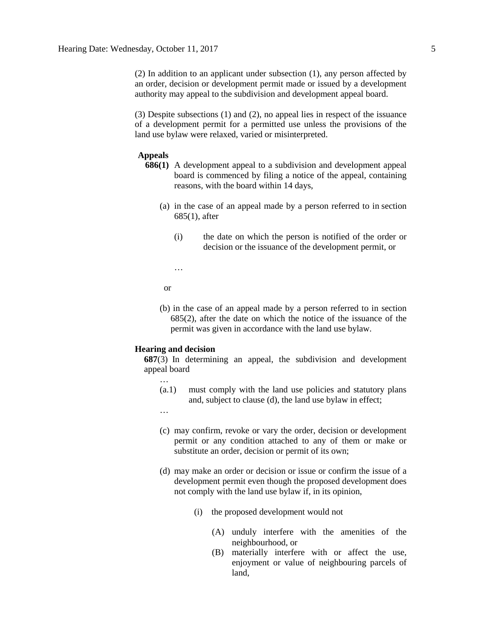(2) In addition to an applicant under subsection (1), any person affected by an order, decision or development permit made or issued by a development authority may appeal to the subdivision and development appeal board.

(3) Despite subsections (1) and (2), no appeal lies in respect of the issuance of a development permit for a permitted use unless the provisions of the land use bylaw were relaxed, varied or misinterpreted.

### **Appeals**

- **686(1)** A development appeal to a subdivision and development appeal board is commenced by filing a notice of the appeal, containing reasons, with the board within 14 days,
	- (a) in the case of an appeal made by a person referred to in section 685(1), after
		- (i) the date on which the person is notified of the order or decision or the issuance of the development permit, or
		- …

or

(b) in the case of an appeal made by a person referred to in section 685(2), after the date on which the notice of the issuance of the permit was given in accordance with the land use bylaw.

#### **Hearing and decision**

**687**(3) In determining an appeal, the subdivision and development appeal board

- (a.1) must comply with the land use policies and statutory plans and, subject to clause (d), the land use bylaw in effect;
- …

…

- (c) may confirm, revoke or vary the order, decision or development permit or any condition attached to any of them or make or substitute an order, decision or permit of its own;
- (d) may make an order or decision or issue or confirm the issue of a development permit even though the proposed development does not comply with the land use bylaw if, in its opinion,
	- (i) the proposed development would not
		- (A) unduly interfere with the amenities of the neighbourhood, or
		- (B) materially interfere with or affect the use, enjoyment or value of neighbouring parcels of land,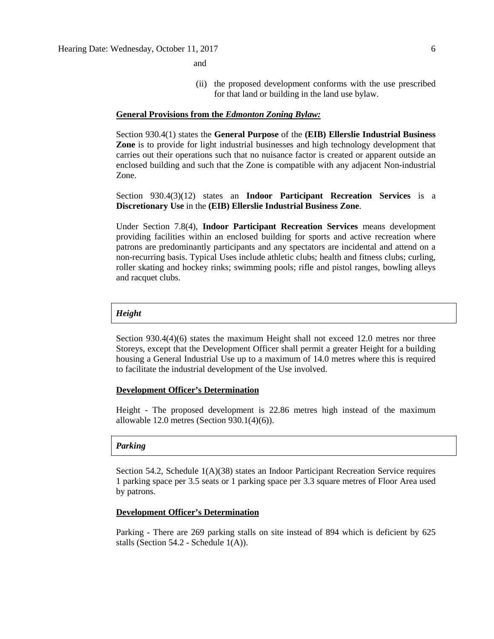**and and** 

(ii) the proposed development conforms with the use prescribed for that land or building in the land use bylaw.

#### **General Provisions from the** *Edmonton Zoning Bylaw:*

Section 930.4(1) states the **General Purpose** of the **(EIB) Ellerslie Industrial Business Zone** is to provide for light industrial businesses and high technology development that carries out their operations such that no nuisance factor is created or apparent outside an enclosed building and such that the Zone is compatible with any adjacent Non-industrial Zone.

Section 930.4(3)(12) states an **Indoor Participant Recreation Services** is a **Discretionary Use** in the **(EIB) Ellerslie Industrial Business Zone**.

Under Section 7.8(4), **Indoor Participant Recreation Services** means development providing facilities within an enclosed building for sports and active recreation where patrons are predominantly participants and any spectators are incidental and attend on a non-recurring basis. Typical Uses include athletic clubs; health and fitness clubs; curling, roller skating and hockey rinks; swimming pools; rifle and pistol ranges, bowling alleys and racquet clubs.

#### *Height*

Section 930.4(4)(6) states the maximum Height shall not exceed 12.0 metres nor three Storeys, except that the Development Officer shall permit a greater Height for a building housing a General Industrial Use up to a maximum of 14.0 metres where this is required to facilitate the industrial development of the Use involved.

#### **Development Officer's Determination**

Height - The proposed development is 22.86 metres high instead of the maximum allowable 12.0 metres (Section 930.1(4)(6)).

#### *Parking*

Section 54.2, Schedule 1(A)(38) states an Indoor Participant Recreation Service requires 1 parking space per 3.5 seats or 1 parking space per 3.3 square metres of Floor Area used by patrons.

#### **Development Officer's Determination**

Parking - There are 269 parking stalls on site instead of 894 which is deficient by 625 stalls (Section 54.2 - Schedule 1(A)).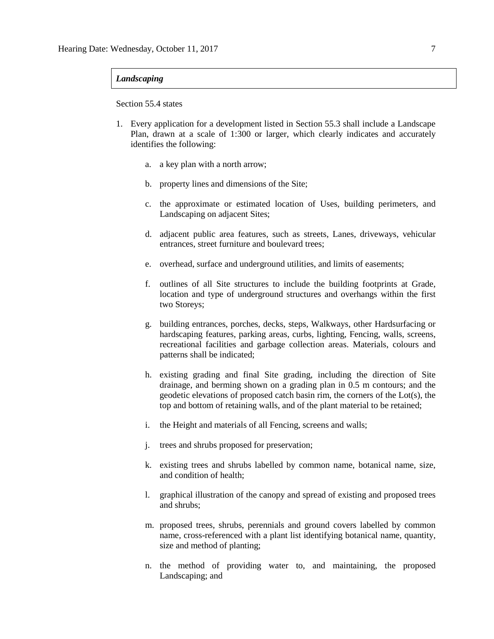### *Landscaping*

Section 55.4 states

- 1. Every application for a development listed in Section 55.3 shall include a Landscape Plan, drawn at a scale of 1:300 or larger, which clearly indicates and accurately identifies the following:
	- a. a key plan with a north arrow;
	- b. property lines and dimensions of the Site;
	- c. the approximate or estimated location of Uses, building perimeters, and Landscaping on adjacent Sites;
	- d. adjacent public area features, such as streets, Lanes, driveways, vehicular entrances, street furniture and boulevard trees;
	- e. overhead, surface and underground utilities, and limits of easements;
	- f. outlines of all Site structures to include the building footprints at Grade, location and type of underground structures and overhangs within the first two Storeys;
	- g. building entrances, porches, decks, steps, Walkways, other Hardsurfacing or hardscaping features, parking areas, curbs, lighting, Fencing, walls, screens, recreational facilities and garbage collection areas. Materials, colours and patterns shall be indicated;
	- h. existing grading and final Site grading, including the direction of Site drainage, and berming shown on a grading plan in 0.5 m contours; and the geodetic elevations of proposed catch basin rim, the corners of the Lot(s), the top and bottom of retaining walls, and of the plant material to be retained;
	- i. the Height and materials of all Fencing, screens and walls;
	- j. trees and shrubs proposed for preservation;
	- k. existing trees and shrubs labelled by common name, botanical name, size, and condition of health;
	- l. graphical illustration of the canopy and spread of existing and proposed trees and shrubs;
	- m. proposed trees, shrubs, perennials and ground covers labelled by common name, cross-referenced with a plant list identifying botanical name, quantity, size and method of planting;
	- n. the method of providing water to, and maintaining, the proposed Landscaping; and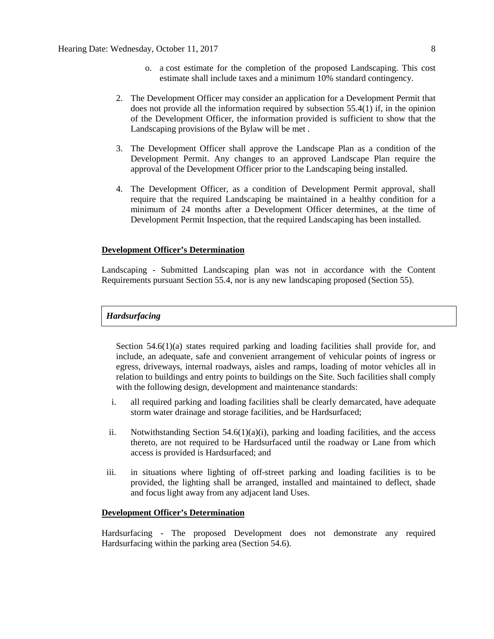- o. a cost estimate for the completion of the proposed Landscaping. This cost estimate shall include taxes and a minimum 10% standard contingency.
- 2. The Development Officer may consider an application for a Development Permit that does not provide all the information required by subsection 55.4(1) if, in the opinion of the Development Officer, the information provided is sufficient to show that the Landscaping provisions of the Bylaw will be met .
- 3. The Development Officer shall approve the Landscape Plan as a condition of the Development Permit. Any changes to an approved Landscape Plan require the approval of the Development Officer prior to the Landscaping being installed.
- 4. The Development Officer, as a condition of Development Permit approval, shall require that the required Landscaping be maintained in a healthy condition for a minimum of 24 months after a Development Officer determines, at the time of Development Permit Inspection, that the required Landscaping has been installed.

# **Development Officer's Determination**

Landscaping - Submitted Landscaping plan was not in accordance with the Content Requirements pursuant Section 55.4, nor is any new landscaping proposed (Section 55).

### *Hardsurfacing*

Section 54.6(1)(a) states required parking and loading facilities shall provide for, and include, an adequate, safe and convenient arrangement of vehicular points of ingress or egress, driveways, internal roadways, aisles and ramps, loading of motor vehicles all in relation to buildings and entry points to buildings on the Site. Such facilities shall comply with the following design, development and maintenance standards:

- i. all required parking and loading facilities shall be clearly demarcated, have adequate storm water drainage and storage facilities, and be Hardsurfaced;
- ii. Notwithstanding Section  $54.6(1)(a)(i)$ , parking and loading facilities, and the access thereto, are not required to be Hardsurfaced until the roadway or Lane from which access is provided is Hardsurfaced; and
- iii. in situations where lighting of off-street parking and loading facilities is to be provided, the lighting shall be arranged, installed and maintained to deflect, shade and focus light away from any adjacent land Uses.

#### **Development Officer's Determination**

Hardsurfacing - The proposed Development does not demonstrate any required Hardsurfacing within the parking area (Section 54.6).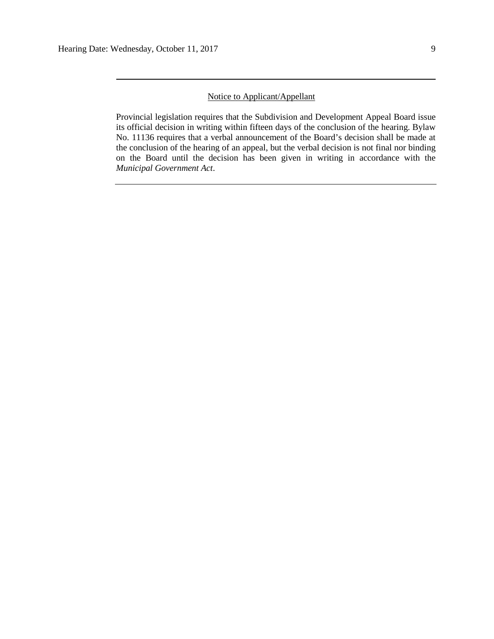### Notice to Applicant/Appellant

Provincial legislation requires that the Subdivision and Development Appeal Board issue its official decision in writing within fifteen days of the conclusion of the hearing. Bylaw No. 11136 requires that a verbal announcement of the Board's decision shall be made at the conclusion of the hearing of an appeal, but the verbal decision is not final nor binding on the Board until the decision has been given in writing in accordance with the *Municipal Government Act*.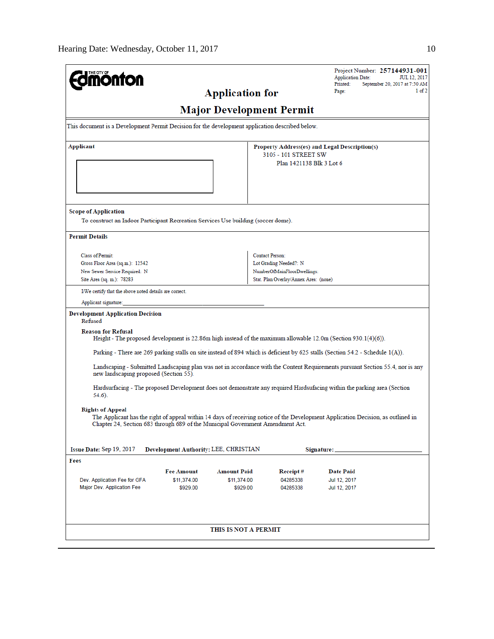| <b>mönton</b>                                                                                                     |                                       |                         |                                                                                                                          | Project Number: 257144931-001<br><b>Application Date:</b><br>Printed:<br>September 20, 2017 at 7:50 AM                           | JUL 12, 2017 |
|-------------------------------------------------------------------------------------------------------------------|---------------------------------------|-------------------------|--------------------------------------------------------------------------------------------------------------------------|----------------------------------------------------------------------------------------------------------------------------------|--------------|
|                                                                                                                   |                                       | <b>Application for</b>  |                                                                                                                          | Page:                                                                                                                            | 1 of 2       |
|                                                                                                                   |                                       |                         | <b>Major Development Permit</b>                                                                                          |                                                                                                                                  |              |
| This document is a Development Permit Decision for the development application described below.                   |                                       |                         |                                                                                                                          |                                                                                                                                  |              |
| Applicant                                                                                                         |                                       |                         | Property Address(es) and Legal Description(s)<br>3105 - 101 STREET SW<br>Plan 1421138 Blk 3 Lot 6                        |                                                                                                                                  |              |
| <b>Scope of Application</b><br>To construct an Indoor Participant Recreation Services Use building (soccer dome). |                                       |                         |                                                                                                                          |                                                                                                                                  |              |
| <b>Permit Details</b>                                                                                             |                                       |                         |                                                                                                                          |                                                                                                                                  |              |
| Class of Permit:<br>Gross Floor Area (sq.m.): 12542<br>New Sewer Service Required: N<br>Site Area (sq. m.): 78283 |                                       |                         | <b>Contact Person:</b><br>Lot Grading Needed?: N<br>NumberOfMainFloorDwellings:<br>Stat. Plan Overlay/Annex Area: (none) |                                                                                                                                  |              |
| I/We certify that the above noted details are correct.                                                            |                                       |                         |                                                                                                                          |                                                                                                                                  |              |
| Applicant signature:                                                                                              |                                       |                         |                                                                                                                          |                                                                                                                                  |              |
| Development Application Decision<br>Refused                                                                       |                                       |                         |                                                                                                                          |                                                                                                                                  |              |
| <b>Reason for Refusal</b>                                                                                         |                                       |                         |                                                                                                                          | Height - The proposed development is $22.86m$ high instead of the maximum allowable $12.0m$ (Section $930.1(4)(6)$ ).            |              |
|                                                                                                                   |                                       |                         |                                                                                                                          | Parking - There are 269 parking stalls on site instead of 894 which is deficient by 625 stalls (Section 54.2 - Schedule 1(A)).   |              |
| new landscaping proposed (Section 55).                                                                            |                                       |                         |                                                                                                                          | Landscaping - Submitted Landscaping plan was not in accordance with the Content Requirements pursuant Section 55.4, nor is any   |              |
| 54.6).                                                                                                            |                                       |                         |                                                                                                                          | Hardsurfacing - The proposed Development does not demonstrate any required Hardsufacing within the parking area (Section         |              |
| <b>Rights of Appeal</b><br>Chapter 24, Section 683 through 689 of the Municipal Government Amendment Act.         |                                       |                         |                                                                                                                          | The Applicant has the right of appeal within 14 days of receiving notice of the Development Application Decision, as outlined in |              |
| Issue Date: Sep 19, 2017                                                                                          | Development Authority: LEE, CHRISTIAN |                         |                                                                                                                          | Signature:                                                                                                                       |              |
| Fees                                                                                                              |                                       |                         |                                                                                                                          |                                                                                                                                  |              |
|                                                                                                                   | <b>Fee Amount</b>                     | <b>Amount Paid</b>      | Receipt#                                                                                                                 | Date Paid                                                                                                                        |              |
| Dev. Application Fee for GFA<br>Major Dev. Application Fee                                                        | \$11,374.00<br>\$929.00               | \$11,374.00<br>\$929.00 | 04285338<br>04285338                                                                                                     | Jul 12, 2017<br>Jul 12, 2017                                                                                                     |              |
|                                                                                                                   |                                       |                         |                                                                                                                          |                                                                                                                                  |              |
|                                                                                                                   |                                       | THIS IS NOT A PERMIT    |                                                                                                                          |                                                                                                                                  |              |
|                                                                                                                   |                                       |                         |                                                                                                                          |                                                                                                                                  |              |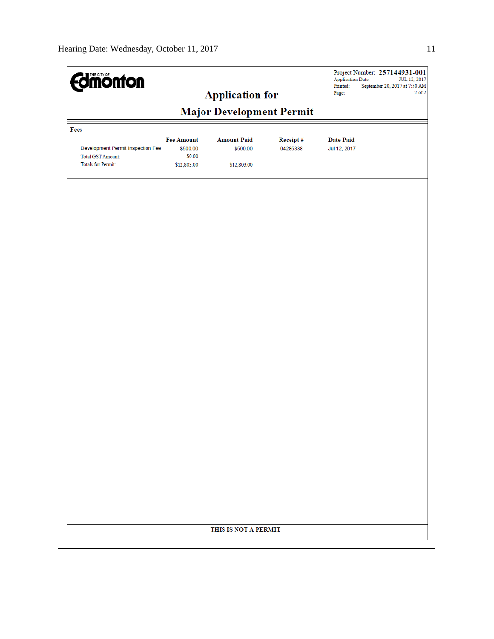| <b>Edinion fon</b>                                                                         |                                                        | <b>Application for</b>                        |                      | <b>Application Date:</b><br>Printed:<br>Page: | Project Number: 257144931-001<br>JUL 12, 2017<br>September 20, 2017 at 7:50 AM<br>$2$ of $2$ |
|--------------------------------------------------------------------------------------------|--------------------------------------------------------|-----------------------------------------------|----------------------|-----------------------------------------------|----------------------------------------------------------------------------------------------|
|                                                                                            |                                                        | <b>Major Development Permit</b>               |                      |                                               |                                                                                              |
| Fees                                                                                       |                                                        |                                               |                      |                                               |                                                                                              |
| Development Permit Inspection Fee<br><b>Total GST Amount:</b><br><b>Totals for Permit:</b> | <b>Fee Amount</b><br>\$500.00<br>\$0.00<br>\$12,803.00 | <b>Amount Paid</b><br>\$500.00<br>\$12,803.00 | Receipt#<br>04285338 | <b>Date Paid</b><br>Jul 12, 2017              |                                                                                              |
|                                                                                            |                                                        |                                               |                      |                                               |                                                                                              |
|                                                                                            |                                                        |                                               |                      |                                               |                                                                                              |
|                                                                                            |                                                        |                                               |                      |                                               |                                                                                              |
|                                                                                            |                                                        | THIS IS NOT A PERMIT                          |                      |                                               |                                                                                              |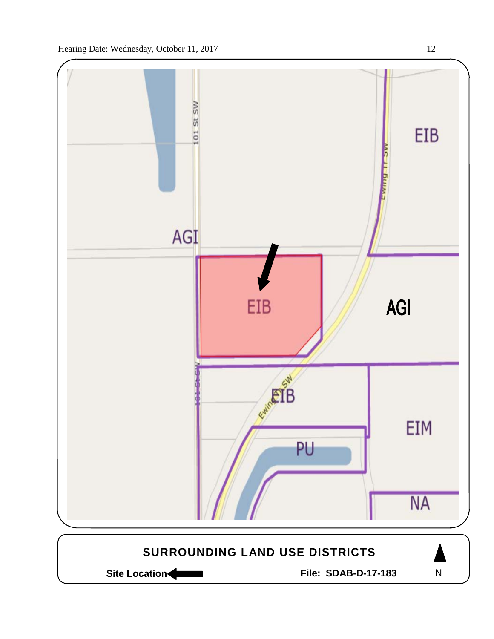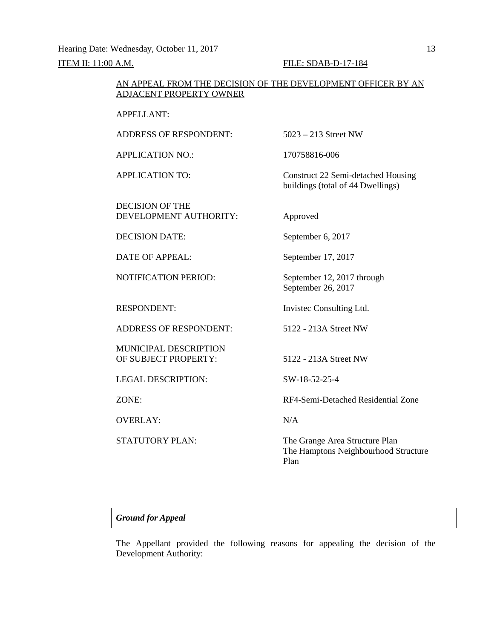Hearing Date: Wednesday, October 11, 2017 13

**ITEM II: 11:00 A.M. FILE: SDAB-D-17-184** 

## AN APPEAL FROM THE DECISION OF THE DEVELOPMENT OFFICER BY AN ADJACENT PROPERTY OWNER

APPELLANT:

ADDRESS OF RESPONDENT: 5023 – 213 Street NW

APPLICATION NO.: 170758816-006

DECISION OF THE DEVELOPMENT AUTHORITY: Approved

DECISION DATE: September 6, 2017

DATE OF APPEAL: September 17, 2017

ADDRESS OF RESPONDENT: 5122 - 213A Street NW

MUNICIPAL DESCRIPTION OF SUBJECT PROPERTY: 5122 - 213A Street NW

LEGAL DESCRIPTION: SW-18-52-25-4

OVERLAY: N/A

APPLICATION TO: Construct 22 Semi-detached Housing buildings (total of 44 Dwellings)

NOTIFICATION PERIOD: September 12, 2017 through September 26, 2017

RESPONDENT: Invisted Consulting Ltd.

ZONE: RF4-Semi-Detached Residential Zone

STATUTORY PLAN: The Grange Area Structure Plan The Hamptons Neighbourhood Structure Plan

## *Ground for Appeal*

The Appellant provided the following reasons for appealing the decision of the Development Authority: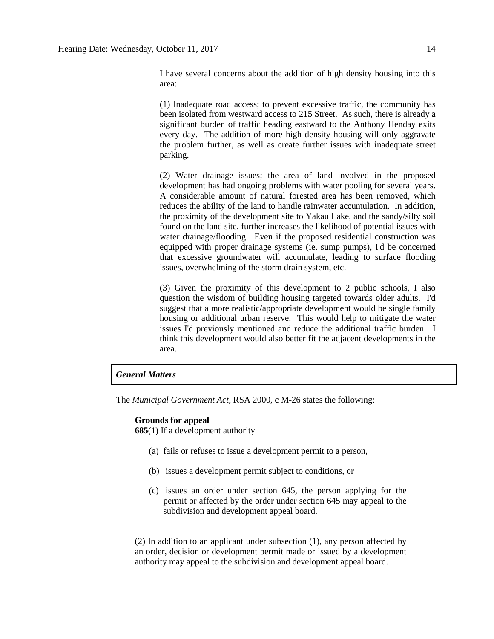I have several concerns about the addition of high density housing into this area:

(1) Inadequate road access; to prevent excessive traffic, the community has been isolated from westward access to 215 Street. As such, there is already a significant burden of traffic heading eastward to the Anthony Henday exits every day. The addition of more high density housing will only aggravate the problem further, as well as create further issues with inadequate street parking.

(2) Water drainage issues; the area of land involved in the proposed development has had ongoing problems with water pooling for several years. A considerable amount of natural forested area has been removed, which reduces the ability of the land to handle rainwater accumulation. In addition, the proximity of the development site to Yakau Lake, and the sandy/silty soil found on the land site, further increases the likelihood of potential issues with water drainage/flooding. Even if the proposed residential construction was equipped with proper drainage systems (ie. sump pumps), I'd be concerned that excessive groundwater will accumulate, leading to surface flooding issues, overwhelming of the storm drain system, etc.

(3) Given the proximity of this development to 2 public schools, I also question the wisdom of building housing targeted towards older adults. I'd suggest that a more realistic/appropriate development would be single family housing or additional urban reserve. This would help to mitigate the water issues I'd previously mentioned and reduce the additional traffic burden. I think this development would also better fit the adjacent developments in the area.

#### *General Matters*

The *Municipal Government Act*, RSA 2000, c M-26 states the following:

#### **Grounds for appeal**

**685**(1) If a development authority

- (a) fails or refuses to issue a development permit to a person,
- (b) issues a development permit subject to conditions, or
- (c) issues an order under section 645, the person applying for the permit or affected by the order under section 645 may appeal to the subdivision and development appeal board.

(2) In addition to an applicant under subsection (1), any person affected by an order, decision or development permit made or issued by a development authority may appeal to the subdivision and development appeal board.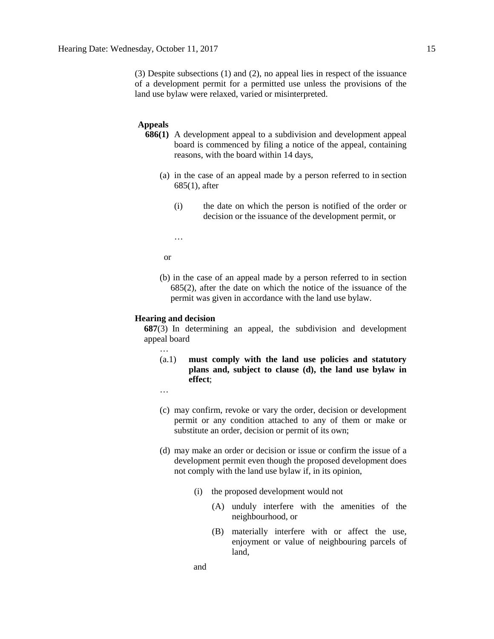(3) Despite subsections (1) and (2), no appeal lies in respect of the issuance of a development permit for a permitted use unless the provisions of the land use bylaw were relaxed, varied or misinterpreted.

### **Appeals**

- **686(1)** A development appeal to a subdivision and development appeal board is commenced by filing a notice of the appeal, containing reasons, with the board within 14 days,
	- (a) in the case of an appeal made by a person referred to in section 685(1), after
		- (i) the date on which the person is notified of the order or decision or the issuance of the development permit, or

…

or

(b) in the case of an appeal made by a person referred to in section 685(2), after the date on which the notice of the issuance of the permit was given in accordance with the land use bylaw.

#### **Hearing and decision**

**687**(3) In determining an appeal, the subdivision and development appeal board

- (a.1) **must comply with the land use policies and statutory plans and, subject to clause (d), the land use bylaw in effect**;
- …

…

- (c) may confirm, revoke or vary the order, decision or development permit or any condition attached to any of them or make or substitute an order, decision or permit of its own;
- (d) may make an order or decision or issue or confirm the issue of a development permit even though the proposed development does not comply with the land use bylaw if, in its opinion,
	- (i) the proposed development would not
		- (A) unduly interfere with the amenities of the neighbourhood, or
		- (B) materially interfere with or affect the use, enjoyment or value of neighbouring parcels of land,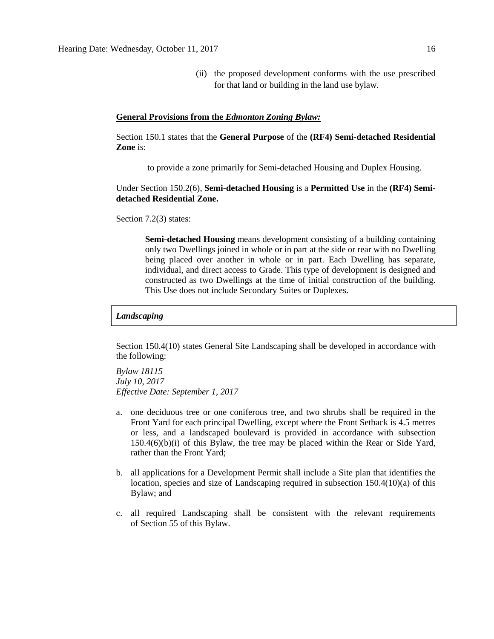(ii) the proposed development conforms with the use prescribed for that land or building in the land use bylaw.

#### **General Provisions from the** *Edmonton Zoning Bylaw:*

Section 150.1 states that the **General Purpose** of the **(RF4) Semi-detached Residential Zone** is:

to provide a zone primarily for Semi-detached Housing and Duplex Housing.

Under Section 150.2(6), **Semi-detached Housing** is a **Permitted Use** in the **(RF4) Semidetached Residential Zone.**

Section 7.2(3) states:

**Semi-detached Housing** means development consisting of a building containing only two Dwellings joined in whole or in part at the side or rear with no Dwelling being placed over another in whole or in part. Each Dwelling has separate, individual, and direct access to Grade. This type of development is designed and constructed as two Dwellings at the time of initial construction of the building. This Use does not include Secondary Suites or Duplexes.

#### *Landscaping*

Section 150.4(10) states General Site Landscaping shall be developed in accordance with the following:

*Bylaw 18115 July 10, 2017 Effective Date: September 1, 2017*

- a. one deciduous tree or one coniferous tree, and two shrubs shall be required in the Front Yard for each principal Dwelling, except where the Front Setback is 4.5 metres or less, and a landscaped boulevard is provided in accordance with subsection  $150.4(6)(b)(i)$  of this Bylaw, the tree may be placed within the Rear or Side Yard, rather than the Front Yard;
- b. all applications for a Development Permit shall include a Site plan that identifies the location, species and size of Landscaping required in subsection 150.4(10)(a) of this Bylaw; and
- c. all required Landscaping shall be consistent with the relevant requirements of [Section](http://webdocs.edmonton.ca/InfraPlan/zoningbylaw/ZoningBylaw/Part1/Development/55__Landscaping.htm) 55 of this Bylaw.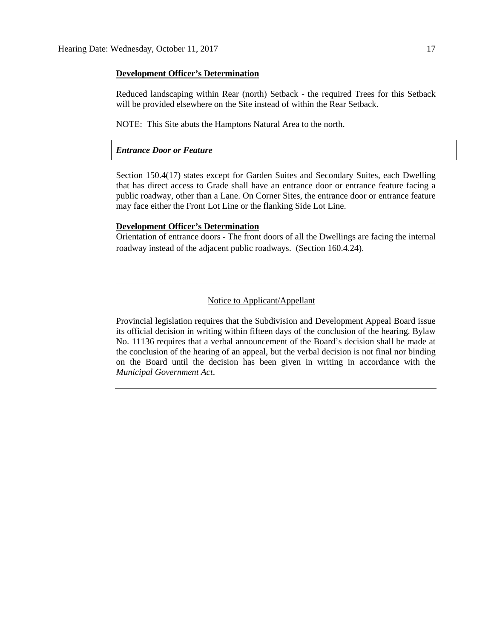#### **Development Officer's Determination**

Reduced landscaping within Rear (north) Setback - the required Trees for this Setback will be provided elsewhere on the Site instead of within the Rear Setback.

NOTE: This Site abuts the Hamptons Natural Area to the north.

### *Entrance Door or Feature*

Section 150.4(17) states except for Garden Suites and Secondary Suites, each Dwelling that has direct access to Grade shall have an entrance door or entrance feature facing a public roadway, other than a Lane. On Corner Sites, the entrance door or entrance feature may face either the Front Lot Line or the flanking Side Lot Line.

## **Development Officer's Determination**

Orientation of entrance doors - The front doors of all the Dwellings are facing the internal roadway instead of the adjacent public roadways. (Section 160.4.24).

# Notice to Applicant/Appellant

Provincial legislation requires that the Subdivision and Development Appeal Board issue its official decision in writing within fifteen days of the conclusion of the hearing. Bylaw No. 11136 requires that a verbal announcement of the Board's decision shall be made at the conclusion of the hearing of an appeal, but the verbal decision is not final nor binding on the Board until the decision has been given in writing in accordance with the *Municipal Government Act*.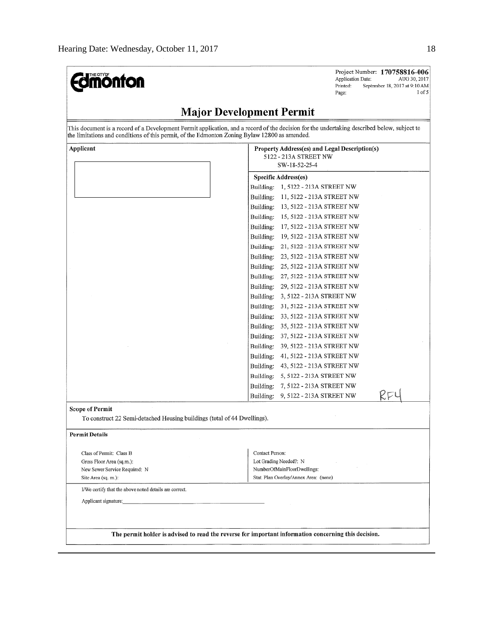| <b><i><u>edmonton</u></i></b>                                                                                                                                                                                                                | Project Number: 170758816-006<br>Application Date:<br>AUG 30, 2017<br>Printed:<br>September 18, 2017 at 9:10 AM<br>$1$ of $5$<br>Page: |
|----------------------------------------------------------------------------------------------------------------------------------------------------------------------------------------------------------------------------------------------|----------------------------------------------------------------------------------------------------------------------------------------|
|                                                                                                                                                                                                                                              | <b>Major Development Permit</b>                                                                                                        |
| This document is a record of a Development Permit application, and a record of the decision for the undertaking described below, subject to<br>the limitations and conditions of this permit, of the Edmonton Zoning Bylaw 12800 as amended. |                                                                                                                                        |
| Applicant                                                                                                                                                                                                                                    | Property Address(es) and Legal Description(s)<br>5122 - 213A STREET NW<br>SW-18-52-25-4                                                |
|                                                                                                                                                                                                                                              | <b>Specific Address(es)</b>                                                                                                            |
|                                                                                                                                                                                                                                              | Building:<br>1, 5122 - 213A STREET NW                                                                                                  |
|                                                                                                                                                                                                                                              | Building:<br>11, 5122 - 213A STREET NW                                                                                                 |
|                                                                                                                                                                                                                                              | Building:<br>13, 5122 - 213A STREET NW                                                                                                 |
|                                                                                                                                                                                                                                              | Building:<br>15, 5122 - 213A STREET NW                                                                                                 |
|                                                                                                                                                                                                                                              | Building:<br>17, 5122 - 213A STREET NW                                                                                                 |
|                                                                                                                                                                                                                                              | 19, 5122 - 213A STREET NW<br>Building:                                                                                                 |
|                                                                                                                                                                                                                                              | Building:<br>21, 5122 - 213A STREET NW                                                                                                 |
|                                                                                                                                                                                                                                              | Building:<br>23, 5122 - 213A STREET NW                                                                                                 |
|                                                                                                                                                                                                                                              | Building:<br>25, 5122 - 213A STREET NW                                                                                                 |
|                                                                                                                                                                                                                                              | Building:<br>27, 5122 - 213A STREET NW                                                                                                 |
|                                                                                                                                                                                                                                              | Building:<br>29, 5122 - 213A STREET NW                                                                                                 |
|                                                                                                                                                                                                                                              | 3, 5122 - 213A STREET NW<br>Building:                                                                                                  |
|                                                                                                                                                                                                                                              | Building:<br>31, 5122 - 213A STREET NW                                                                                                 |
|                                                                                                                                                                                                                                              | Building:<br>33, 5122 - 213A STREET NW                                                                                                 |
|                                                                                                                                                                                                                                              | Building:<br>35, 5122 - 213A STREET NW                                                                                                 |
|                                                                                                                                                                                                                                              | Building:<br>37, 5122 - 213A STREET NW                                                                                                 |
|                                                                                                                                                                                                                                              | 39, 5122 - 213A STREET NW<br>Building:                                                                                                 |
|                                                                                                                                                                                                                                              | 41, 5122 - 213A STREET NW<br>Building:                                                                                                 |
|                                                                                                                                                                                                                                              | Building:<br>43, 5122 - 213A STREET NW                                                                                                 |
|                                                                                                                                                                                                                                              | Building:<br>5, 5122 - 213A STREET NW                                                                                                  |
|                                                                                                                                                                                                                                              | Building:<br>7, 5122 - 213A STREET NW                                                                                                  |
|                                                                                                                                                                                                                                              | KFL<br>9, 5122 - 213A STREET NW<br>Building:                                                                                           |
| <b>Scope of Permit</b>                                                                                                                                                                                                                       |                                                                                                                                        |
| To construct 22 Semi-detached Housing buildings (total of 44 Dwellings).                                                                                                                                                                     |                                                                                                                                        |
| <b>Permit Details</b>                                                                                                                                                                                                                        |                                                                                                                                        |
| Class of Permit: Class B                                                                                                                                                                                                                     | Contact Person:                                                                                                                        |
| Gross Floor Area (sq.m.):                                                                                                                                                                                                                    | Lot Grading Needed?: N                                                                                                                 |
| New Sewer Service Required: N                                                                                                                                                                                                                | NumberOfMainFloorDwellings:                                                                                                            |
| Site Area (sq. m.):                                                                                                                                                                                                                          | Stat, Plan Overlay/Annex Area: (none)                                                                                                  |
| I/We certify that the above noted details are correct.                                                                                                                                                                                       |                                                                                                                                        |
| Applicant signature:                                                                                                                                                                                                                         |                                                                                                                                        |
|                                                                                                                                                                                                                                              |                                                                                                                                        |
|                                                                                                                                                                                                                                              | The permit holder is advised to read the reverse for important information concerning this decision.                                   |
|                                                                                                                                                                                                                                              |                                                                                                                                        |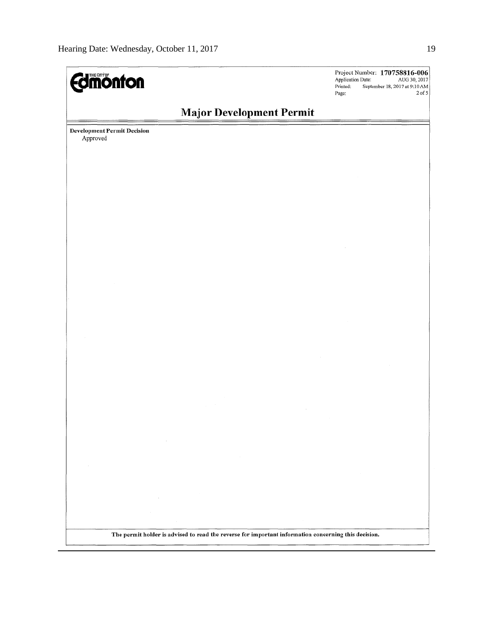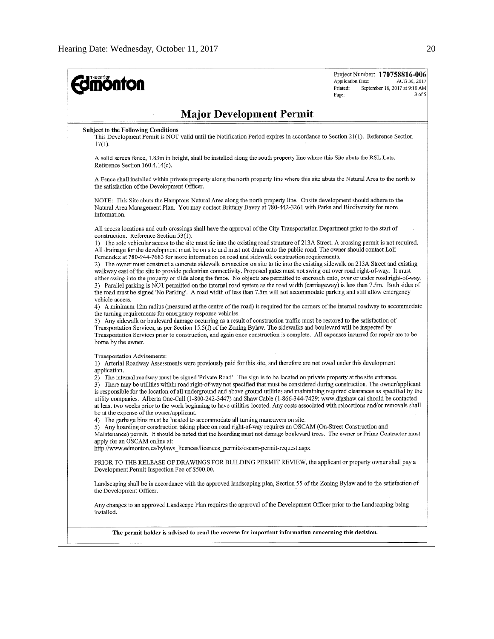| <b><i><u>amonton</u></i></b>                                                                                                                                                                                                                                                                                                                                                                                                                                                                                                                                                                                                                                                                                                                                                                                                                                                                                                                                                                                                                                                                                                                                                                                                                                                                                                                                                                                                                                                                                                                                                                                                                                                                                                                                                                                                                                                                       | Project Number: 170758816-006<br>Application Date:<br>AUG 30, 2017<br>Printed:<br>September 18, 2017 at 9:10 AM<br>3 of 5<br>Page: |
|----------------------------------------------------------------------------------------------------------------------------------------------------------------------------------------------------------------------------------------------------------------------------------------------------------------------------------------------------------------------------------------------------------------------------------------------------------------------------------------------------------------------------------------------------------------------------------------------------------------------------------------------------------------------------------------------------------------------------------------------------------------------------------------------------------------------------------------------------------------------------------------------------------------------------------------------------------------------------------------------------------------------------------------------------------------------------------------------------------------------------------------------------------------------------------------------------------------------------------------------------------------------------------------------------------------------------------------------------------------------------------------------------------------------------------------------------------------------------------------------------------------------------------------------------------------------------------------------------------------------------------------------------------------------------------------------------------------------------------------------------------------------------------------------------------------------------------------------------------------------------------------------------|------------------------------------------------------------------------------------------------------------------------------------|
| <b>Major Development Permit</b>                                                                                                                                                                                                                                                                                                                                                                                                                                                                                                                                                                                                                                                                                                                                                                                                                                                                                                                                                                                                                                                                                                                                                                                                                                                                                                                                                                                                                                                                                                                                                                                                                                                                                                                                                                                                                                                                    |                                                                                                                                    |
| <b>Subject to the Following Conditions</b><br>This Development Permit is NOT valid until the Notification Period expires in accordance to Section 21(1). Reference Section<br>$17(1)$ .                                                                                                                                                                                                                                                                                                                                                                                                                                                                                                                                                                                                                                                                                                                                                                                                                                                                                                                                                                                                                                                                                                                                                                                                                                                                                                                                                                                                                                                                                                                                                                                                                                                                                                            |                                                                                                                                    |
| A solid screen fence, 1.83m in height, shall be installed along the south property line where this Site abuts the RSL Lots.<br>Reference Section 160.4.14(c).                                                                                                                                                                                                                                                                                                                                                                                                                                                                                                                                                                                                                                                                                                                                                                                                                                                                                                                                                                                                                                                                                                                                                                                                                                                                                                                                                                                                                                                                                                                                                                                                                                                                                                                                      |                                                                                                                                    |
| A Fence shall installed within private property along the north property line where this site abuts the Natural Area to the north to<br>the satisfaction of the Development Officer.                                                                                                                                                                                                                                                                                                                                                                                                                                                                                                                                                                                                                                                                                                                                                                                                                                                                                                                                                                                                                                                                                                                                                                                                                                                                                                                                                                                                                                                                                                                                                                                                                                                                                                               |                                                                                                                                    |
| NOTE: This Site abuts the Hamptons Natural Area along the north property line. Onsite development should adhere to the<br>Natural Area Management Plan. You may contact Brittany Davey at 780-442-3261 with Parks and Biodiversity for more<br>information.                                                                                                                                                                                                                                                                                                                                                                                                                                                                                                                                                                                                                                                                                                                                                                                                                                                                                                                                                                                                                                                                                                                                                                                                                                                                                                                                                                                                                                                                                                                                                                                                                                        |                                                                                                                                    |
| All access locations and curb crossings shall have the approval of the City Transportation Department prior to the start of<br>construction. Reference Section 53(1).<br>1) The sole vehicular access to the site must tie into the existing road structure of 213A Street. A crossing permit is not required.<br>All drainage for the development must be on site and must not drain onto the public road. The owner should contact Loli<br>Fernandez at 780-944-7683 for more information on road and sidewalk construction requirements.<br>2) The owner must construct a concrete sidewalk connection on site to tie into the existing sidewalk on 213A Street and existing<br>walkway east of the site to provide pedestrian connectivity. Proposed gates must not swing out over road right-of-way. It must<br>either swing into the property or slide along the fence. No objects are permitted to encroach onto, over or under road right-of-way.<br>3) Parallel parking is NOT permitted on the internal road system as the road width (carriageway) is less than 7.5m. Both sides of<br>the road must be signed 'No Parking'. A road width of less than 7.5m will not accommodate parking and still allow emergency<br>vehicle access.<br>4) A minimum 12m radius (measured at the centre of the road) is required for the corners of the internal roadway to accommodate<br>the turning requirements for emergency response vehicles.<br>5) Any sidewalk or boulevard damage occurring as a result of construction traffic must be restored to the satisfaction of<br>Transportation Services, as per Section 15.5(f) of the Zoning Bylaw. The sidewalks and boulevard will be inspected by<br>Transportation Services prior to construction, and again once construction is complete. All expenses incurred for repair are to be<br>borne by the owner.<br>Transportation Advisements: |                                                                                                                                    |
| 1) Arterial Roadway Assessments were previously paid for this site, and therefore are not owed under this development<br>application.<br>2) The internal roadway must be signed 'Private Road'. The sign is to be located on private property at the site entrance.<br>3) There may be utilities within road right-of-way not specified that must be considered during construction. The owner/applicant<br>is responsible for the location of all underground and above ground utilities and maintaining required clearances as specified by the<br>utility companies. Alberta One-Call (1-800-242-3447) and Shaw Cable (1-866-344-7429; www.digshaw.ca) should be contacted<br>at least two weeks prior to the work beginning to have utilities located. Any costs associated with relocations and/or removals shall<br>be at the expense of the owner/applicant.<br>4) The garbage bins must be located to accommodate all turning maneuvers on site.                                                                                                                                                                                                                                                                                                                                                                                                                                                                                                                                                                                                                                                                                                                                                                                                                                                                                                                                           |                                                                                                                                    |
| 5) Any hoarding or construction taking place on road right-of-way requires an OSCAM (On-Street Construction and<br>Maintenance) permit. It should be noted that the hoarding must not damage boulevard trees. The owner or Prime Contractor must<br>apply for an OSCAM online at:<br>http://www.edmonton.ca/bylaws licences/licences permits/oscam-permit-request.aspx                                                                                                                                                                                                                                                                                                                                                                                                                                                                                                                                                                                                                                                                                                                                                                                                                                                                                                                                                                                                                                                                                                                                                                                                                                                                                                                                                                                                                                                                                                                             |                                                                                                                                    |
| PRIOR TO THE RELEASE OF DRAWINGS FOR BUILDING PERMIT REVIEW, the applicant or property owner shall pay a<br>Development Permit Inspection Fee of \$500.00.                                                                                                                                                                                                                                                                                                                                                                                                                                                                                                                                                                                                                                                                                                                                                                                                                                                                                                                                                                                                                                                                                                                                                                                                                                                                                                                                                                                                                                                                                                                                                                                                                                                                                                                                         |                                                                                                                                    |
| Landscaping shall be in accordance with the approved landscaping plan, Section 55 of the Zoning Bylaw and to the satisfaction of<br>the Development Officer.                                                                                                                                                                                                                                                                                                                                                                                                                                                                                                                                                                                                                                                                                                                                                                                                                                                                                                                                                                                                                                                                                                                                                                                                                                                                                                                                                                                                                                                                                                                                                                                                                                                                                                                                       |                                                                                                                                    |
| Any changes to an approved Landscape Plan requires the approval of the Development Officer prior to the Landscaping being<br>installed.                                                                                                                                                                                                                                                                                                                                                                                                                                                                                                                                                                                                                                                                                                                                                                                                                                                                                                                                                                                                                                                                                                                                                                                                                                                                                                                                                                                                                                                                                                                                                                                                                                                                                                                                                            |                                                                                                                                    |
| The permit holder is advised to read the reverse for important information concerning this decision.                                                                                                                                                                                                                                                                                                                                                                                                                                                                                                                                                                                                                                                                                                                                                                                                                                                                                                                                                                                                                                                                                                                                                                                                                                                                                                                                                                                                                                                                                                                                                                                                                                                                                                                                                                                               |                                                                                                                                    |
|                                                                                                                                                                                                                                                                                                                                                                                                                                                                                                                                                                                                                                                                                                                                                                                                                                                                                                                                                                                                                                                                                                                                                                                                                                                                                                                                                                                                                                                                                                                                                                                                                                                                                                                                                                                                                                                                                                    |                                                                                                                                    |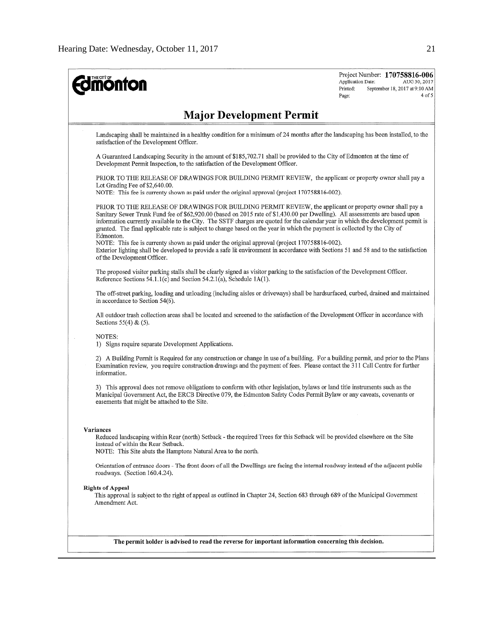| <b>monton</b>                                                                                                                                                                                                                                                                                                                                                                                                                                                                                                                                                                                                                                                                                                                                                                                    | Project Number: 170758816-006<br>Application Date:<br>AUG 30, 2017<br>Printed:<br>September 18, 2017 at 9:10 AM<br>4 of 5<br>Page: |
|--------------------------------------------------------------------------------------------------------------------------------------------------------------------------------------------------------------------------------------------------------------------------------------------------------------------------------------------------------------------------------------------------------------------------------------------------------------------------------------------------------------------------------------------------------------------------------------------------------------------------------------------------------------------------------------------------------------------------------------------------------------------------------------------------|------------------------------------------------------------------------------------------------------------------------------------|
| <b>Major Development Permit</b>                                                                                                                                                                                                                                                                                                                                                                                                                                                                                                                                                                                                                                                                                                                                                                  |                                                                                                                                    |
| Landscaping shall be maintained in a healthy condition for a minimum of 24 months after the landscaping has been installed, to the<br>satisfaction of the Development Officer.                                                                                                                                                                                                                                                                                                                                                                                                                                                                                                                                                                                                                   |                                                                                                                                    |
| A Guaranteed Landscaping Security in the amount of \$185,702.71 shall be provided to the City of Edmonton at the time of<br>Development Permit Inspection, to the satisfaction of the Development Officer.                                                                                                                                                                                                                                                                                                                                                                                                                                                                                                                                                                                       |                                                                                                                                    |
| PRIOR TO THE RELEASE OF DRAWINGS FOR BUILDING PERMIT REVIEW, the applicant or property owner shall pay a<br>Lot Grading Fee of \$2,640.00.<br>NOTE: This fee is currenty shown as paid under the original approval (project 170758816-002).                                                                                                                                                                                                                                                                                                                                                                                                                                                                                                                                                      |                                                                                                                                    |
| PRIOR TO THE RELEASE OF DRAWINGS FOR BUILDING PERMIT REVIEW, the applicant or property owner shall pay a<br>Sanitary Sewer Trunk Fund fee of \$62,920.00 (based on 2015 rate of \$1,430.00 per Dwelling). All assessments are based upon<br>information currently available to the City. The SSTF charges are quoted for the calendar year in which the development permit is<br>granted. The final applicable rate is subject to change based on the year in which the payment is collected by the City of<br>Edmonton.<br>NOTE: This fee is currenty shown as paid under the original approval (project 170758816-002).<br>Exterior lighting shall be developed to provide a safe lit environment in accordance with Sections 51 and 58 and to the satisfaction<br>of the Development Officer. |                                                                                                                                    |
| The proposed visitor parking stalls shall be clearly signed as visitor parking to the satisfaction of the Development Officer.<br>Reference Sections 54.1.1(c) and Section 54.2.1(a), Schedule 1A(1).                                                                                                                                                                                                                                                                                                                                                                                                                                                                                                                                                                                            |                                                                                                                                    |
| The off-street parking, loading and unloading (including aisles or driveways) shall be hardsurfaced, curbed, drained and maintained<br>in accordance to Section 54(6).                                                                                                                                                                                                                                                                                                                                                                                                                                                                                                                                                                                                                           |                                                                                                                                    |
| All outdoor trash collection areas shall be located and screened to the satisfaction of the Development Officer in accordance with<br>Sections $55(4)$ & $(5)$ .                                                                                                                                                                                                                                                                                                                                                                                                                                                                                                                                                                                                                                 |                                                                                                                                    |
| NOTES:<br>1) Signs require separate Development Applications.                                                                                                                                                                                                                                                                                                                                                                                                                                                                                                                                                                                                                                                                                                                                    |                                                                                                                                    |
| 2) A Building Permit is Required for any construction or change in use of a building. For a building permit, and prior to the Plans<br>Examination review, you require construction drawings and the payment of fees. Please contact the 311 Call Centre for further<br>information.                                                                                                                                                                                                                                                                                                                                                                                                                                                                                                             |                                                                                                                                    |
| 3) This approval does not remove obligations to conform with other legislation, bylaws or land title instruments such as the<br>Municipal Government Act, the ERCB Directive 079, the Edmonton Safety Codes Permit Bylaw or any caveats, covenants or<br>easements that might be attached to the Site.                                                                                                                                                                                                                                                                                                                                                                                                                                                                                           |                                                                                                                                    |
| Variances<br>Reduced landscaping within Rear (north) Setback - the required Trees for this Setback will be provided elsewhere on the Site<br>instead of within the Rear Setback.<br>NOTE: This Site abuts the Hamptons Natural Area to the north.                                                                                                                                                                                                                                                                                                                                                                                                                                                                                                                                                |                                                                                                                                    |
| Orientation of entrance doors - The front doors of all the Dwellings are facing the internal roadway instead of the adjacent public<br>roadways. (Section 160.4.24).                                                                                                                                                                                                                                                                                                                                                                                                                                                                                                                                                                                                                             |                                                                                                                                    |
| <b>Rights of Appeal</b><br>This approval is subject to the right of appeal as outlined in Chapter 24, Section 683 through 689 of the Municipal Government<br>Amendment Act.                                                                                                                                                                                                                                                                                                                                                                                                                                                                                                                                                                                                                      |                                                                                                                                    |
|                                                                                                                                                                                                                                                                                                                                                                                                                                                                                                                                                                                                                                                                                                                                                                                                  |                                                                                                                                    |
| The permit holder is advised to read the reverse for important information concerning this decision.                                                                                                                                                                                                                                                                                                                                                                                                                                                                                                                                                                                                                                                                                             |                                                                                                                                    |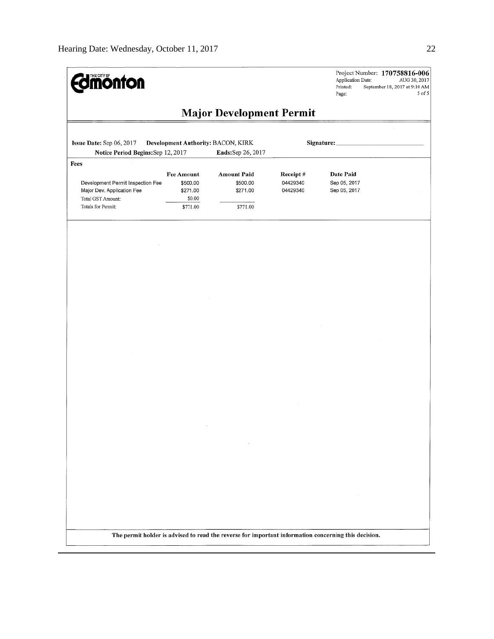| <b><i><u>almonton</u></i></b>                                                                                      |                                                                 |                                                                                                      |                                  | Application Date:<br>Printed:<br>Page:    | Project Number: 170758816-006<br>AUG 30, 2017<br>September 18, 2017 at 9:10 AM<br>5 of 5 |
|--------------------------------------------------------------------------------------------------------------------|-----------------------------------------------------------------|------------------------------------------------------------------------------------------------------|----------------------------------|-------------------------------------------|------------------------------------------------------------------------------------------|
|                                                                                                                    |                                                                 | <b>Major Development Permit</b>                                                                      |                                  |                                           |                                                                                          |
| Issue Date: Sep 06, 2017<br>Notice Period Begins: Sep 12, 2017                                                     | Development Authority: BACON, KIRK                              | Ends:Sep 26, 2017                                                                                    |                                  | Signature:_                               |                                                                                          |
| Fees<br>Development Permit Inspection Fee<br>Major Dev. Application Fee<br>Total GST Amount:<br>Totals for Permit: | <b>Fee Amount</b><br>\$500.00<br>\$271.00<br>\$0.00<br>\$771.00 | <b>Amount Paid</b><br>\$500.00<br>\$271.00<br>\$771.00                                               | Receipt#<br>04429340<br>04429340 | Date Paid<br>Sep 05, 2017<br>Sep 05, 2017 |                                                                                          |
|                                                                                                                    |                                                                 |                                                                                                      |                                  |                                           |                                                                                          |
|                                                                                                                    |                                                                 |                                                                                                      |                                  |                                           |                                                                                          |
|                                                                                                                    |                                                                 |                                                                                                      |                                  |                                           |                                                                                          |
|                                                                                                                    |                                                                 |                                                                                                      |                                  |                                           |                                                                                          |
|                                                                                                                    |                                                                 |                                                                                                      |                                  |                                           |                                                                                          |
|                                                                                                                    |                                                                 |                                                                                                      |                                  |                                           |                                                                                          |
|                                                                                                                    |                                                                 |                                                                                                      |                                  |                                           |                                                                                          |
|                                                                                                                    |                                                                 |                                                                                                      |                                  |                                           |                                                                                          |
|                                                                                                                    |                                                                 |                                                                                                      |                                  |                                           |                                                                                          |
|                                                                                                                    |                                                                 |                                                                                                      |                                  |                                           |                                                                                          |
|                                                                                                                    |                                                                 |                                                                                                      |                                  |                                           |                                                                                          |
|                                                                                                                    |                                                                 | The permit holder is advised to read the reverse for important information concerning this decision. |                                  |                                           |                                                                                          |